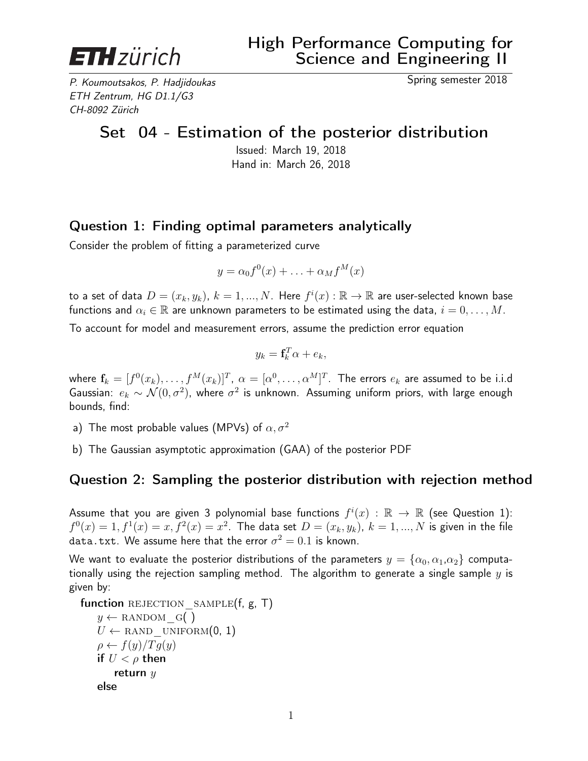

P. Koumoutsakos, P. Hadjidoukas Spring semester 2018 ETH Zentrum, HG D1.1/G3 CH-8092 Zürich

## Set 04 - Estimation of the posterior distribution

Issued: March 19, 2018 Hand in: March 26, 2018

## Question 1: Finding optimal parameters analytically

Consider the problem of fitting a parameterized curve

$$
y = \alpha_0 f^0(x) + \ldots + \alpha_M f^M(x)
$$

to a set of data  $D=(x_k,y_k)$ ,  $k=1,...,N$ . Here  $f^i(x):\mathbb{R}\to\mathbb{R}$  are user-selected known base functions and  $\alpha_i \in \mathbb{R}$  are unknown parameters to be estimated using the data,  $i = 0, \ldots, M$ .

To account for model and measurement errors, assume the prediction error equation

$$
y_k = \mathbf{f}_k^T \alpha + e_k,
$$

where  $\mathbf{f}_k=[f^0(x_k),\ldots,f^M(x_k)]^T$ ,  $\alpha=[\alpha^0,\ldots,\alpha^M]^T$ . The errors  $e_k$  are assumed to be i.i.d Gaussian:  $e_k \sim \mathcal{N}(0,\sigma^2)$ , where  $\sigma^2$  is unknown. Assuming uniform priors, with large enough bounds, find:

- a) The most probable values (MPVs) of  $\alpha, \sigma^2$
- b) The Gaussian asymptotic approximation (GAA) of the posterior PDF

## Question 2: Sampling the posterior distribution with rejection method

Assume that you are given 3 polynomial base functions  $f^i(x)$  :  $\mathbb{R} \to \mathbb{R}$  (see Question 1):  $f^0(x)=1, f^1(x)=x, f^2(x)=x^2.$  The data set  $D=(x_k, y_k),\ k=1,...,N$  is given in the file data.txt. We assume here that the error  $\sigma^2=0.1$  is known.

We want to evaluate the posterior distributions of the parameters  $y = \{\alpha_0, \alpha_1, \alpha_2\}$  computationally using the rejection sampling method. The algorithm to generate a single sample  $y$  is given by:

```
function REJECTION_SAMPLE(f, g, T)y \leftarrow RANDOM G( )
U \leftarrow RAND UNIFORM(0, 1)\rho \leftarrow f(y)/Tg(y)if U < \rho then
    return yelse
```